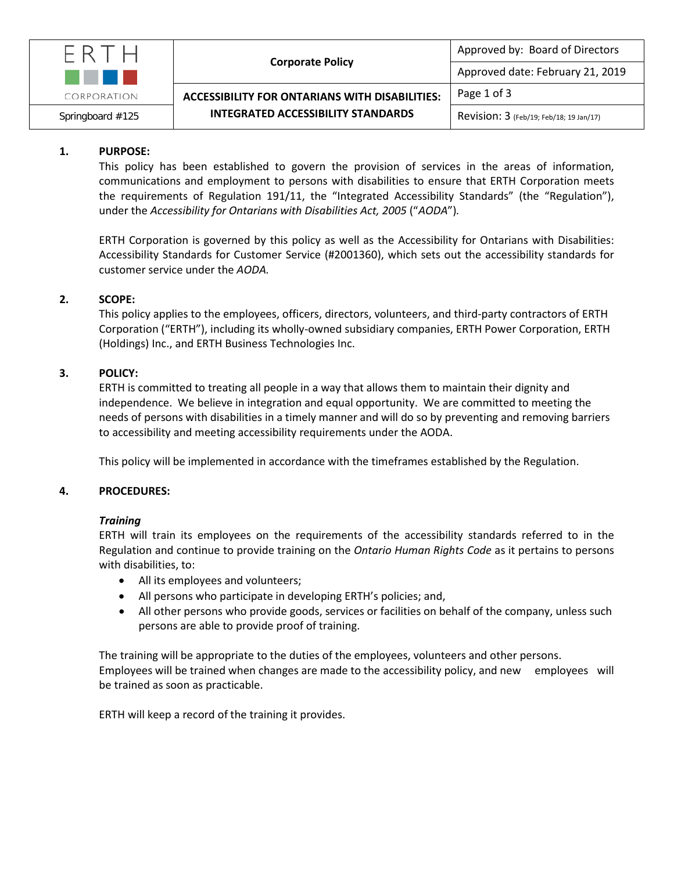

# **1. PURPOSE:**

This policy has been established to govern the provision of services in the areas of information, communications and employment to persons with disabilities to ensure that ERTH Corporation meets the requirements of Regulation 191/11, the "Integrated Accessibility Standards" (the "Regulation"), under the *Accessibility for Ontarians with Disabilities Act, 2005* ("*AODA*")*.*

ERTH Corporation is governed by this policy as well as the Accessibility for Ontarians with Disabilities: Accessibility Standards for Customer Service (#2001360), which sets out the accessibility standards for customer service under the *AODA.*

## **2. SCOPE:**

This policy applies to the employees, officers, directors, volunteers, and third-party contractors of ERTH Corporation ("ERTH"), including its wholly-owned subsidiary companies, ERTH Power Corporation, ERTH (Holdings) Inc., and ERTH Business Technologies Inc.

## **3. POLICY:**

ERTH is committed to treating all people in a way that allows them to maintain their dignity and independence. We believe in integration and equal opportunity. We are committed to meeting the needs of persons with disabilities in a timely manner and will do so by preventing and removing barriers to accessibility and meeting accessibility requirements under the AODA.

This policy will be implemented in accordance with the timeframes established by the Regulation.

### **4. PROCEDURES:**

### *Training*

ERTH will train its employees on the requirements of the accessibility standards referred to in the Regulation and continue to provide training on the *Ontario Human Rights Code* as it pertains to persons with disabilities, to:

- All its employees and volunteers;
- All persons who participate in developing ERTH's policies; and,
- All other persons who provide goods, services or facilities on behalf of the company, unless such persons are able to provide proof of training.

The training will be appropriate to the duties of the employees, volunteers and other persons. Employees will be trained when changes are made to the accessibility policy, and new employees will be trained as soon as practicable.

ERTH will keep a record of the training it provides.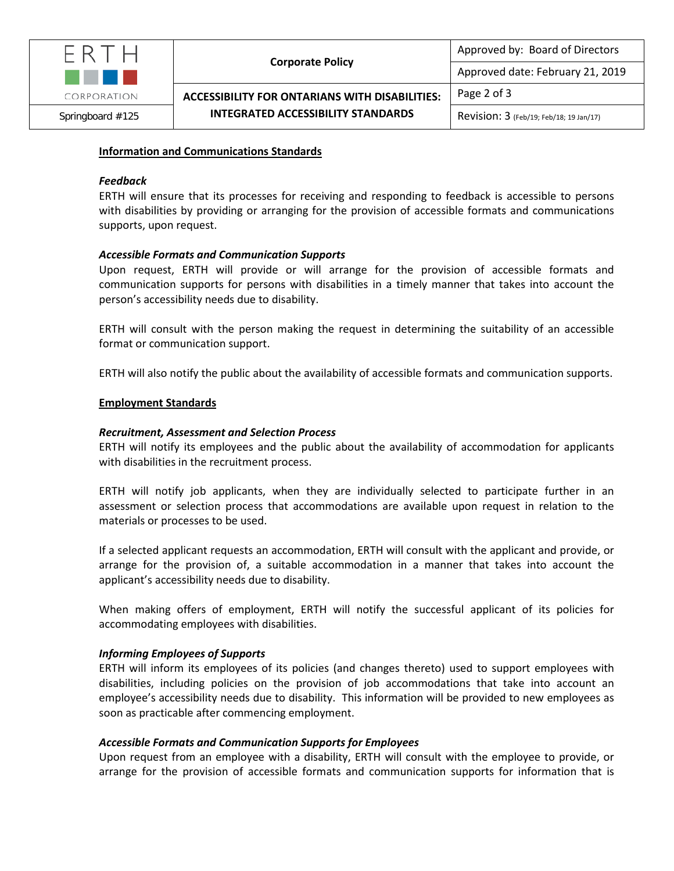

**ACCESSIBILITY FOR ONTARIANS WITH DISABILITIES:** 

Page 2 of 3

Approved by: Board of Directors

Approved date: February 21, 2019

## **Information and Communications Standards**

### *Feedback*

ERTH will ensure that its processes for receiving and responding to feedback is accessible to persons with disabilities by providing or arranging for the provision of accessible formats and communications supports, upon request.

### *Accessible Formats and Communication Supports*

Upon request, ERTH will provide or will arrange for the provision of accessible formats and communication supports for persons with disabilities in a timely manner that takes into account the person's accessibility needs due to disability.

ERTH will consult with the person making the request in determining the suitability of an accessible format or communication support.

ERTH will also notify the public about the availability of accessible formats and communication supports.

### **Employment Standards**

### *Recruitment, Assessment and Selection Process*

ERTH will notify its employees and the public about the availability of accommodation for applicants with disabilities in the recruitment process.

ERTH will notify job applicants, when they are individually selected to participate further in an assessment or selection process that accommodations are available upon request in relation to the materials or processes to be used.

If a selected applicant requests an accommodation, ERTH will consult with the applicant and provide, or arrange for the provision of, a suitable accommodation in a manner that takes into account the applicant's accessibility needs due to disability.

When making offers of employment, ERTH will notify the successful applicant of its policies for accommodating employees with disabilities.

### *Informing Employees of Supports*

ERTH will inform its employees of its policies (and changes thereto) used to support employees with disabilities, including policies on the provision of job accommodations that take into account an employee's accessibility needs due to disability. This information will be provided to new employees as soon as practicable after commencing employment.

### *Accessible Formats and Communication Supports for Employees*

Upon request from an employee with a disability, ERTH will consult with the employee to provide, or arrange for the provision of accessible formats and communication supports for information that is